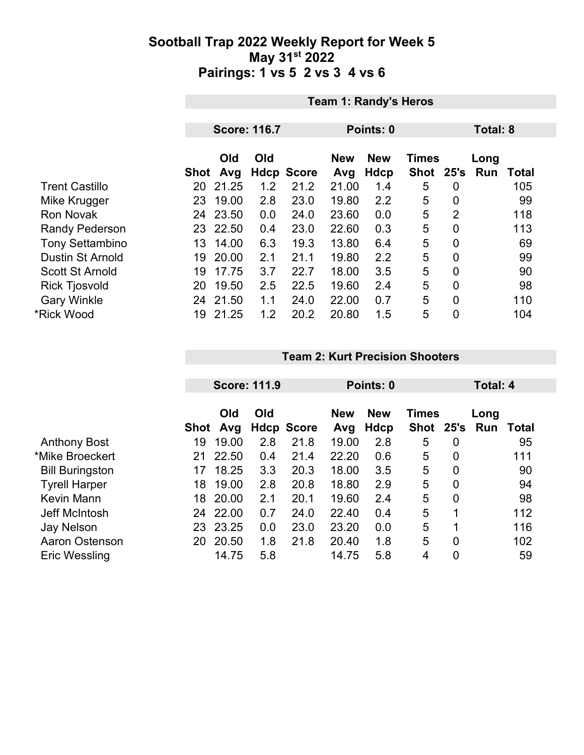|                         | <b>Team 1: Randy's Heros</b> |                     |     |                   |                   |                           |                           |                  |                 |              |  |
|-------------------------|------------------------------|---------------------|-----|-------------------|-------------------|---------------------------|---------------------------|------------------|-----------------|--------------|--|
|                         |                              |                     |     |                   |                   |                           |                           |                  |                 |              |  |
|                         |                              | <b>Score: 116.7</b> |     |                   | Points: 0         |                           |                           |                  | <b>Total: 8</b> |              |  |
|                         | Shot                         | Old<br>Avg          | Old | <b>Hdcp Score</b> | <b>New</b><br>Avg | <b>New</b><br><b>Hdcp</b> | <b>Times</b><br>Shot 25's |                  | Long<br>Run     | <b>Total</b> |  |
| <b>Trent Castillo</b>   | 20                           | 21.25               | 1.2 | 21.2              | 21.00             | 1.4                       | 5                         | $\overline{0}$   |                 | 105          |  |
| Mike Krugger            | 23                           | 19.00               | 2.8 | 23.0              | 19.80             | 2.2                       | 5                         | 0                |                 | 99           |  |
| <b>Ron Novak</b>        | 24                           | 23.50               | 0.0 | 24.0              | 23.60             | 0.0                       | 5                         | $\overline{2}$   |                 | 118          |  |
| <b>Randy Pederson</b>   |                              | 23 22.50            | 0.4 | 23.0              | 22.60             | 0.3                       | 5                         | $\overline{0}$   |                 | 113          |  |
| <b>Tony Settambino</b>  | 13                           | 14.00               | 6.3 | 19.3              | 13.80             | 6.4                       | 5                         | $\overline{0}$   |                 | 69           |  |
| <b>Dustin St Arnold</b> | 19                           | 20.00               | 2.1 | 21.1              | 19.80             | 2.2                       | 5                         | $\boldsymbol{0}$ |                 | 99           |  |
| <b>Scott St Arnold</b>  | 19                           | 17.75               | 3.7 | 22.7              | 18.00             | 3.5                       | 5                         | $\overline{0}$   |                 | 90           |  |
| <b>Rick Tjosvold</b>    | 20                           | 19.50               | 2.5 | 22.5              | 19.60             | 2.4                       | 5                         | $\overline{0}$   |                 | 98           |  |
| <b>Gary Winkle</b>      | 24                           | 21.50               | 1.1 | 24.0              | 22.00             | 0.7                       | 5                         | $\mathbf 0$      |                 | 110          |  |
| *Rick Wood              | 19                           | 21.25               | 1.2 | 20.2              | 20.80             | 1.5                       | 5                         | $\overline{0}$   |                 | 104          |  |

#### **Team 2: Kurt Precision Shooters**

|                        |      | <b>Score: 111.9</b> |     |                   | Points: 0         | Total: 4                  |                           |                |             |              |
|------------------------|------|---------------------|-----|-------------------|-------------------|---------------------------|---------------------------|----------------|-------------|--------------|
|                        | Shot | Old<br>Avg          | Old | <b>Hdcp Score</b> | <b>New</b><br>Avg | <b>New</b><br><b>Hdcp</b> | <b>Times</b><br>Shot 25's |                | Long<br>Run | <b>Total</b> |
| <b>Anthony Bost</b>    | 19   | 19.00               | 2.8 | 21.8              | 19.00             | 2.8                       | 5                         | $\overline{0}$ |             | 95           |
| *Mike Broeckert        | 21   | 22.50               | 0.4 | 21.4              | 22.20             | 0.6                       | 5                         | $\overline{0}$ |             | 111          |
| <b>Bill Buringston</b> | 17   | 18.25               | 3.3 | 20.3              | 18.00             | 3.5                       | 5                         | 0              |             | 90           |
| <b>Tyrell Harper</b>   | 18   | 19.00               | 2.8 | 20.8              | 18.80             | 2.9                       | 5                         | $\overline{0}$ |             | 94           |
| <b>Kevin Mann</b>      | 18   | 20.00               | 2.1 | 20.1              | 19.60             | 2.4                       | 5                         | 0              |             | 98           |
| <b>Jeff McIntosh</b>   | 24   | 22.00               | 0.7 | 24.0              | 22.40             | 0.4                       | 5                         | $\mathbf 1$    |             | 112          |
| <b>Jay Nelson</b>      | 23   | 23.25               | 0.0 | 23.0              | 23.20             | 0.0                       | 5                         | 1              |             | 116          |
| Aaron Ostenson         | 20   | 20.50               | 1.8 | 21.8              | 20.40             | 1.8                       | 5                         | $\overline{0}$ |             | 102          |
| <b>Eric Wessling</b>   |      | 14.75               | 5.8 |                   | 14.75             | 5.8                       | 4                         | 0              |             | 59           |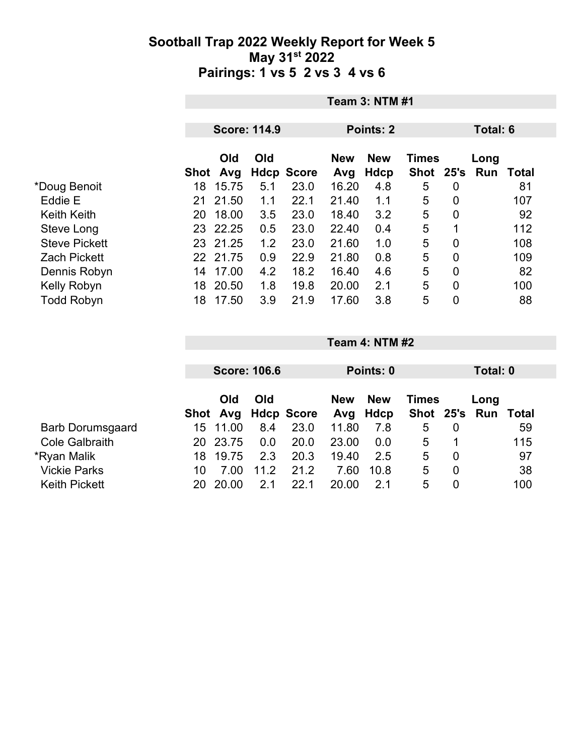|                      |          | <b>Team 3: NTM #1</b> |                     |                   |                   |                    |                      |   |                  |       |  |
|----------------------|----------|-----------------------|---------------------|-------------------|-------------------|--------------------|----------------------|---|------------------|-------|--|
|                      |          |                       | <b>Score: 114.9</b> |                   | Points: 2         |                    |                      |   | Total: 6         |       |  |
|                      | Shot Avg | <b>Old</b>            | Old                 | <b>Hdcp Score</b> | <b>New</b><br>Avg | <b>New</b><br>Hdcp | <b>Times</b><br>Shot |   | Long<br>25's Run | Total |  |
| *Doug Benoit         | 18       | 15.75                 | 5.1                 | 23.0              | 16.20             | 4.8                | 5                    | 0 |                  | 81    |  |
| Eddie E              | 21       | 21.50                 | 1.1                 | 22.1              | 21.40             | 1.1                | 5                    | 0 |                  | 107   |  |
| <b>Keith Keith</b>   | 20       | 18.00                 | 3.5                 | 23.0              | 18.40             | 3.2                | 5                    | 0 |                  | 92    |  |
| Steve Long           |          | 23 22.25              | 0.5                 | 23.0              | 22.40             | 0.4                | 5                    | 1 |                  | 112   |  |
| <b>Steve Pickett</b> |          | 23 21.25              | 1.2                 | 23.0              | 21.60             | 1.0                | 5                    | 0 |                  | 108   |  |
| <b>Zach Pickett</b>  |          | 22 21.75              | 0.9                 | 22.9              | 21.80             | 0.8                | 5                    | 0 |                  | 109   |  |
| Dennis Robyn         | 14       | 17.00                 | 4.2                 | 18.2              | 16.40             | 4.6                | 5                    | 0 |                  | 82    |  |
| Kelly Robyn          | 18       | 20.50                 | 1.8                 | 19.8              | 20.00             | 2.1                | 5                    | 0 |                  | 100   |  |
| <b>Todd Robyn</b>    | 18       | 17.50                 | 3.9                 | 21.9              | 17.60             | 3.8                | 5                    | 0 |                  | 88    |  |

|                         |     | <b>Score: 106.6</b> |      |                     | Points: 0  |                        |              | Total: 0 |                             |     |
|-------------------------|-----|---------------------|------|---------------------|------------|------------------------|--------------|----------|-----------------------------|-----|
|                         |     | Old                 | Old  | Shot Avg Hdcp Score | <b>New</b> | <b>New</b><br>Avg Hdcp | <b>Times</b> |          | Long<br>Shot 25's Run Total |     |
| <b>Barb Dorumsgaard</b> | 15. | 11.00               | 8.4  | 23.0                | 11.80      | 7.8                    | 5            | 0        |                             | 59  |
| <b>Cole Galbraith</b>   | 20. | 23.75               | 0.0  | 20.0                | 23.00      | 0.0                    | 5            |          |                             | 115 |
| *Ryan Malik             | 18  | 19.75               | 2.3  | 20.3                | 19.40      | 2.5                    | 5            | 0        |                             | 97  |
| <b>Vickie Parks</b>     | 10  | 7.00                | 11.2 | 21.2                | 7.60       | 10.8                   | 5            | 0        |                             | 38  |
| <b>Keith Pickett</b>    | 20  | 20.00               | 2.1  | 22.1                | 20.00      | 21                     | 5            | 0        |                             | 100 |

**Team 4: NTM #2**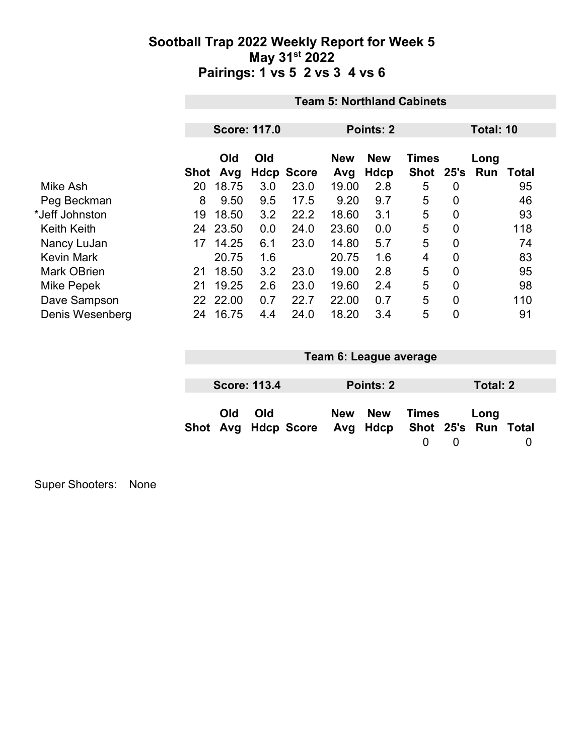|                    |      | <b>Team 5: Northland Cabinets</b> |                     |                   |                   |                    |                           |                |             |              |  |  |
|--------------------|------|-----------------------------------|---------------------|-------------------|-------------------|--------------------|---------------------------|----------------|-------------|--------------|--|--|
|                    |      |                                   |                     |                   |                   |                    |                           |                |             |              |  |  |
|                    |      |                                   | <b>Score: 117.0</b> |                   | Points: 2         |                    |                           |                | Total: 10   |              |  |  |
|                    | Shot | Old<br>Avg                        | Old                 | <b>Hdcp Score</b> | <b>New</b><br>Avg | <b>New</b><br>Hdcp | <b>Times</b><br>Shot 25's |                | Long<br>Run | <b>Total</b> |  |  |
| Mike Ash           | 20   | 18.75                             | 3.0                 | 23.0              | 19.00             | 2.8                | 5                         | 0              |             | 95           |  |  |
| Peg Beckman        | 8    | 9.50                              | 9.5                 | 17.5              | 9.20              | 9.7                | 5                         | 0              |             | 46           |  |  |
| *Jeff Johnston     | 19   | 18.50                             | 3.2                 | 22.2              | 18.60             | 3.1                | 5                         | $\overline{0}$ |             | 93           |  |  |
| <b>Keith Keith</b> | 24   | 23.50                             | 0.0                 | 24.0              | 23.60             | 0.0                | 5                         | 0              |             | 118          |  |  |
| Nancy LuJan        | 17   | 14.25                             | 6.1                 | 23.0              | 14.80             | 5.7                | 5                         | $\overline{0}$ |             | 74           |  |  |
| <b>Kevin Mark</b>  |      | 20.75                             | 1.6                 |                   | 20.75             | 1.6                | 4                         | $\overline{0}$ |             | 83           |  |  |
| <b>Mark OBrien</b> | 21   | 18.50                             | 3.2                 | 23.0              | 19.00             | 2.8                | 5                         | 0              |             | 95           |  |  |
| Mike Pepek         | 21   | 19.25                             | 2.6                 | 23.0              | 19.60             | 2.4                | 5                         | $\overline{0}$ |             | 98           |  |  |
| Dave Sampson       | 22   | 22.00                             | 0.7                 | 22.7              | 22.00             | 0.7                | 5                         | $\overline{0}$ |             | 110          |  |  |
| Denis Wesenberg    | 24   | 16.75                             | 4.4                 | 24.0              | 18.20             | 3.4                | 5                         | $\overline{0}$ |             | 91           |  |  |

| Team 6: League average |                     |                                                  |  |           |                   |          |          |  |
|------------------------|---------------------|--------------------------------------------------|--|-----------|-------------------|----------|----------|--|
|                        |                     |                                                  |  |           |                   |          |          |  |
|                        | <b>Score: 113.4</b> |                                                  |  | Points: 2 |                   |          | Total: 2 |  |
| Old                    | Old                 | Shot Avg Hdcp Score Avg Hdcp Shot 25's Run Total |  | New New   | Times<br>$\Omega$ | $\Omega$ | Long     |  |

Super Shooters: None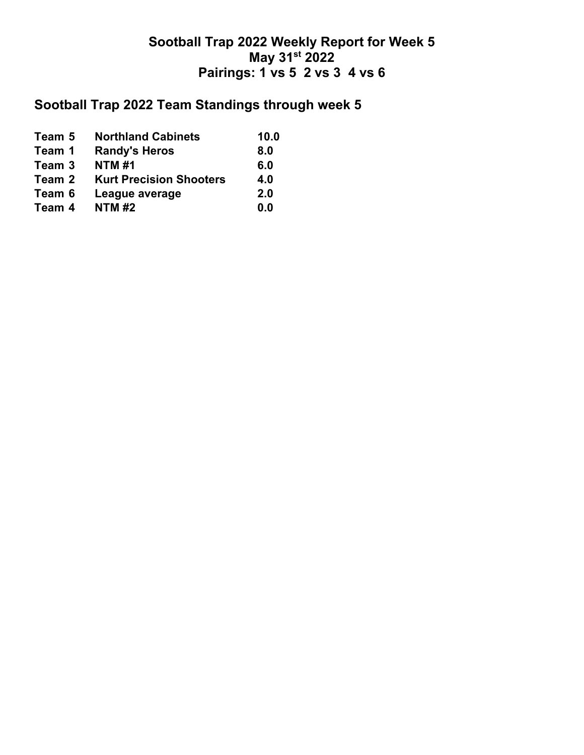## **Sootball Trap 2022 Team Standings through week 5**

| Team 5 | <b>Northland Cabinets</b>      | 10.0 |
|--------|--------------------------------|------|
| Team 1 | <b>Randy's Heros</b>           | 8.0  |
| Team 3 | <b>NTM#1</b>                   | 6.0  |
| Team 2 | <b>Kurt Precision Shooters</b> | 4.0  |
| Team 6 | League average                 | 2.0  |
| Team 4 | <b>NTM#2</b>                   | 0.0  |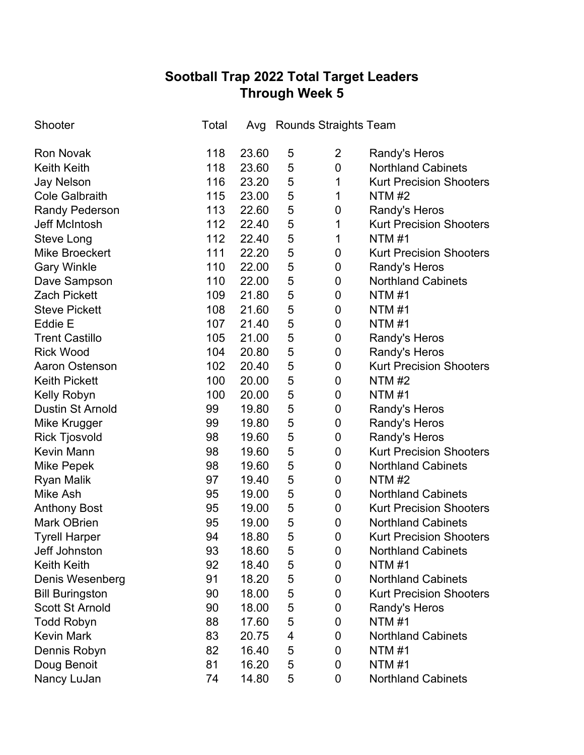# **Sootball Trap 2022 Total Target Leaders Through Week 5**

| Shooter                 | Total |       |   | Avg Rounds Straights Team |                                |
|-------------------------|-------|-------|---|---------------------------|--------------------------------|
| <b>Ron Novak</b>        | 118   | 23.60 | 5 | $\overline{2}$            | Randy's Heros                  |
| <b>Keith Keith</b>      | 118   | 23.60 | 5 | $\mathbf 0$               | <b>Northland Cabinets</b>      |
| <b>Jay Nelson</b>       | 116   | 23.20 | 5 | 1                         | <b>Kurt Precision Shooters</b> |
| <b>Cole Galbraith</b>   | 115   | 23.00 | 5 | 1                         | NTM $#2$                       |
| <b>Randy Pederson</b>   | 113   | 22.60 | 5 | 0                         | Randy's Heros                  |
| <b>Jeff McIntosh</b>    | 112   | 22.40 | 5 | 1                         | <b>Kurt Precision Shooters</b> |
| Steve Long              | 112   | 22.40 | 5 | 1                         | <b>NTM#1</b>                   |
| <b>Mike Broeckert</b>   | 111   | 22.20 | 5 | 0                         | <b>Kurt Precision Shooters</b> |
| <b>Gary Winkle</b>      | 110   | 22.00 | 5 | $\boldsymbol{0}$          | Randy's Heros                  |
| Dave Sampson            | 110   | 22.00 | 5 | $\pmb{0}$                 | <b>Northland Cabinets</b>      |
| <b>Zach Pickett</b>     | 109   | 21.80 | 5 | 0                         | NTM#1                          |
| <b>Steve Pickett</b>    | 108   | 21.60 | 5 | 0                         | <b>NTM#1</b>                   |
| Eddie E                 | 107   | 21.40 | 5 | 0                         | NTM#1                          |
| <b>Trent Castillo</b>   | 105   | 21.00 | 5 | 0                         | Randy's Heros                  |
| <b>Rick Wood</b>        | 104   | 20.80 | 5 | $\boldsymbol{0}$          | Randy's Heros                  |
| <b>Aaron Ostenson</b>   | 102   | 20.40 | 5 | $\pmb{0}$                 | <b>Kurt Precision Shooters</b> |
| <b>Keith Pickett</b>    | 100   | 20.00 | 5 | 0                         | <b>NTM#2</b>                   |
| Kelly Robyn             | 100   | 20.00 | 5 | $\pmb{0}$                 | NTM #1                         |
| <b>Dustin St Arnold</b> | 99    | 19.80 | 5 | 0                         | <b>Randy's Heros</b>           |
| Mike Krugger            | 99    | 19.80 | 5 | 0                         | Randy's Heros                  |
| <b>Rick Tjosvold</b>    | 98    | 19.60 | 5 | 0                         | Randy's Heros                  |
| <b>Kevin Mann</b>       | 98    | 19.60 | 5 | $\pmb{0}$                 | <b>Kurt Precision Shooters</b> |
| Mike Pepek              | 98    | 19.60 | 5 | 0                         | <b>Northland Cabinets</b>      |
| <b>Ryan Malik</b>       | 97    | 19.40 | 5 | 0                         | <b>NTM #2</b>                  |
| <b>Mike Ash</b>         | 95    | 19.00 | 5 | 0                         | <b>Northland Cabinets</b>      |
| <b>Anthony Bost</b>     | 95    | 19.00 | 5 | 0                         | <b>Kurt Precision Shooters</b> |
| <b>Mark OBrien</b>      | 95    | 19.00 | 5 | $\mathbf 0$               | <b>Northland Cabinets</b>      |
| <b>Tyrell Harper</b>    | 94    | 18.80 | 5 | 0                         | <b>Kurt Precision Shooters</b> |
| Jeff Johnston           | 93    | 18.60 | 5 | 0                         | <b>Northland Cabinets</b>      |
| <b>Keith Keith</b>      | 92    | 18.40 | 5 | 0                         | <b>NTM#1</b>                   |
| Denis Wesenberg         | 91    | 18.20 | 5 | 0                         | <b>Northland Cabinets</b>      |
| <b>Bill Buringston</b>  | 90    | 18.00 | 5 | 0                         | <b>Kurt Precision Shooters</b> |
| <b>Scott St Arnold</b>  | 90    | 18.00 | 5 | 0                         | Randy's Heros                  |
| <b>Todd Robyn</b>       | 88    | 17.60 | 5 | 0                         | <b>NTM#1</b>                   |
| <b>Kevin Mark</b>       | 83    | 20.75 | 4 | 0                         | <b>Northland Cabinets</b>      |
| Dennis Robyn            | 82    | 16.40 | 5 | 0                         | <b>NTM#1</b>                   |
| Doug Benoit             | 81    | 16.20 | 5 | 0                         | <b>NTM#1</b>                   |
| Nancy LuJan             | 74    | 14.80 | 5 | 0                         | <b>Northland Cabinets</b>      |